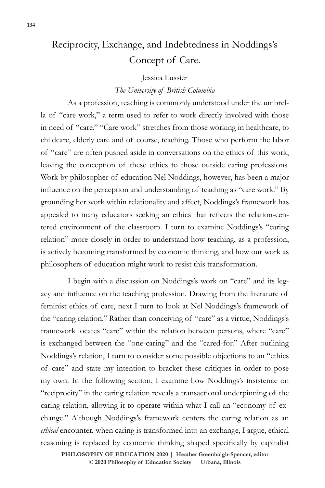# Reciprocity, Exchange, and Indebtedness in Noddings's Concept of Care.

### Jessica Lussier

## *The University of British Columbia*

As a profession, teaching is commonly understood under the umbrella of "care work," a term used to refer to work directly involved with those in need of "care." "Care work" stretches from those working in healthcare, to childcare, elderly care and of course, teaching. Those who perform the labor of "care" are often pushed aside in conversations on the ethics of this work, leaving the conception of these ethics to those outside caring professions. Work by philosopher of education Nel Noddings, however, has been a major influence on the perception and understanding of teaching as "care work." By grounding her work within relationality and affect, Noddings's framework has appealed to many educators seeking an ethics that reflects the relation-centered environment of the classroom. I turn to examine Noddings's "caring relation" more closely in order to understand how teaching, as a profession, is actively becoming transformed by economic thinking, and how our work as philosophers of education might work to resist this transformation.

I begin with a discussion on Noddings's work on "care" and its legacy and influence on the teaching profession. Drawing from the literature of feminist ethics of care, next I turn to look at Nel Noddings's framework of the "caring relation." Rather than conceiving of "care" as a virtue, Noddings's framework locates "care" within the relation between persons, where "care" is exchanged between the "one-caring" and the "cared-for." After outlining Noddings's relation, I turn to consider some possible objections to an "ethics of care" and state my intention to bracket these critiques in order to pose my own. In the following section, I examine how Noddings's insistence on "reciprocity" in the caring relation reveals a transactional underpinning of the caring relation, allowing it to operate within what I call an "economy of exchange." Although Noddings's framework centers the caring relation as an *ethical* encounter, when caring is transformed into an exchange, I argue, ethical reasoning is replaced by economic thinking shaped specifically by capitalist

 $\odot$  2020 Philosophy of Education Society | Urbana, Illinois **PHILOSOPHY OF EDUCATION 2020 | Heather Greenhalgh-Spencer, editor**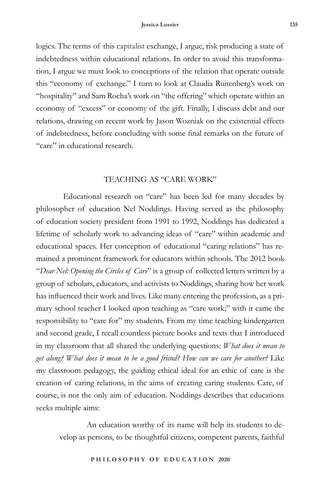logics. The terms of this capitalist exchange, I argue, risk producing a state of indebtedness within educational relations. In order to avoid this transformation, I argue we must look to conceptions of the relation that operate outside this "economy of exchange." I turn to look at Claudia Ruitenberg's work on "hospitality" and Sam Rocha's work on "the offering" which operate within an economy of "excess" or economy of the gift. Finally, I discuss debt and our relations, drawing on recent work by Jason Wozniak on the existential effects of indebtedness, before concluding with some final remarks on the future of "care" in educational research.

## TEACHING AS "CARE WORK"

Educational research on "care" has been led for many decades by philosopher of education Nel Noddings. Having served as the philosophy of education society president from 1991 to 1992, Noddings has dedicated a lifetime of scholarly work to advancing ideas of "care" within academic and educational spaces. Her conception of educational "caring relations" has remained a prominent framework for educators within schools. The 2012 book "*Dear Nel: Opening the Circles of Care*" is a group of collected letters written by a group of scholars, educators, and activists to Noddings, sharing how her work has influenced their work and lives. Like many entering the profession, as a primary school teacher I looked upon teaching as "care work;" with it came the responsibility to "care for" my students. From my time teaching kindergarten and second grade, I recall countless picture books and texts that I introduced in my classroom that all shared the underlying questions: *What does it mean to get along? What does it mean to be a good friend? How can we care for another?* Like my classroom pedagogy, the guiding ethical ideal for an ethic of care is the creation of caring relations, in the aims of creating caring students. Care, of course, is not the only aim of education. Noddings describes that educations seeks multiple aims:

An education worthy of its name will help its students to develop as persons, to be thoughtful citizens, competent parents, faithful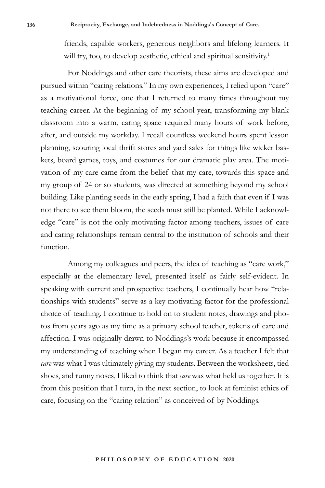friends, capable workers, generous neighbors and lifelong learners. It will try, too, to develop aesthetic, ethical and spiritual sensitivity.<sup>1</sup>

For Noddings and other care theorists, these aims are developed and pursued within "caring relations." In my own experiences, I relied upon "care" as a motivational force, one that I returned to many times throughout my teaching career. At the beginning of my school year, transforming my blank classroom into a warm, caring space required many hours of work before, after, and outside my workday. I recall countless weekend hours spent lesson planning, scouring local thrift stores and yard sales for things like wicker baskets, board games, toys, and costumes for our dramatic play area. The motivation of my care came from the belief that my care, towards this space and my group of 24 or so students, was directed at something beyond my school building. Like planting seeds in the early spring, I had a faith that even if I was not there to see them bloom, the seeds must still be planted. While I acknowledge "care" is not the only motivating factor among teachers, issues of care and caring relationships remain central to the institution of schools and their function.

Among my colleagues and peers, the idea of teaching as "care work," especially at the elementary level, presented itself as fairly self-evident. In speaking with current and prospective teachers, I continually hear how "relationships with students" serve as a key motivating factor for the professional choice of teaching. I continue to hold on to student notes, drawings and photos from years ago as my time as a primary school teacher, tokens of care and affection. I was originally drawn to Noddings's work because it encompassed my understanding of teaching when I began my career. As a teacher I felt that *care* was what I was ultimately giving my students. Between the worksheets, tied shoes, and runny noses, I liked to think that *care* was what held us together. It is from this position that I turn, in the next section, to look at feminist ethics of care, focusing on the "caring relation" as conceived of by Noddings.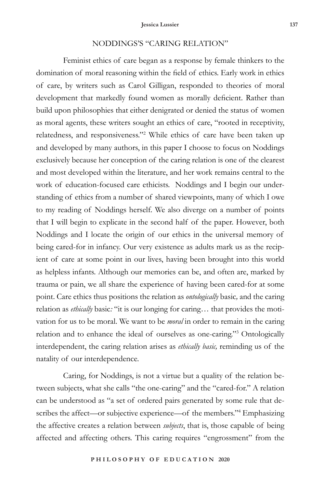# NODDINGS'S "CARING RELATION"

Feminist ethics of care began as a response by female thinkers to the domination of moral reasoning within the field of ethics. Early work in ethics of care, by writers such as Carol Gilligan, responded to theories of moral development that markedly found women as morally deficient. Rather than build upon philosophies that either denigrated or denied the status of women as moral agents, these writers sought an ethics of care, "rooted in receptivity, relatedness, and responsiveness."<sup>2</sup> While ethics of care have been taken up and developed by many authors, in this paper I choose to focus on Noddings exclusively because her conception of the caring relation is one of the clearest and most developed within the literature, and her work remains central to the work of education-focused care ethicists. Noddings and I begin our understanding of ethics from a number of shared viewpoints, many of which I owe to my reading of Noddings herself. We also diverge on a number of points that I will begin to explicate in the second half of the paper. However, both Noddings and I locate the origin of our ethics in the universal memory of being cared-for in infancy. Our very existence as adults mark us as the recipient of care at some point in our lives, having been brought into this world as helpless infants. Although our memories can be, and often are, marked by trauma or pain, we all share the experience of having been cared-for at some point. Care ethics thus positions the relation as *ontologically* basic*,* and the caring relation as *ethically* basic*:* "it is our longing for caring… that provides the motivation for us to be moral. We want to be *moral* in order to remain in the caring relation and to enhance the ideal of ourselves as one-caring."3 Ontologically interdependent, the caring relation arises as *ethically basic,* reminding us of the natality of our interdependence.

Caring, for Noddings, is not a virtue but a quality of the relation between subjects, what she calls "the one-caring" and the "cared-for." A relation can be understood as "a set of ordered pairs generated by some rule that describes the affect—or subjective experience—of the members."4 Emphasizing the affective creates a relation between *subjects*, that is, those capable of being affected and affecting others. This caring requires "engrossment" from the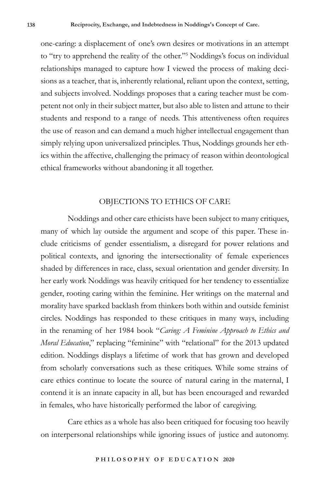one-caring: a displacement of one's own desires or motivations in an attempt to "try to apprehend the reality of the other."5 Noddings's focus on individual relationships managed to capture how I viewed the process of making decisions as a teacher, that is, inherently relational, reliant upon the context, setting, and subjects involved. Noddings proposes that a caring teacher must be competent not only in their subject matter, but also able to listen and attune to their students and respond to a range of needs. This attentiveness often requires the use of reason and can demand a much higher intellectual engagement than simply relying upon universalized principles. Thus, Noddings grounds her ethics within the affective, challenging the primacy of reason within deontological ethical frameworks without abandoning it all together.

## OBJECTIONS TO ETHICS OF CARE

Noddings and other care ethicists have been subject to many critiques, many of which lay outside the argument and scope of this paper. These include criticisms of gender essentialism, a disregard for power relations and political contexts, and ignoring the intersectionality of female experiences shaded by differences in race, class, sexual orientation and gender diversity. In her early work Noddings was heavily critiqued for her tendency to essentialize gender, rooting caring within the feminine. Her writings on the maternal and morality have sparked backlash from thinkers both within and outside feminist circles. Noddings has responded to these critiques in many ways, including in the renaming of her 1984 book "*Caring: A Feminine Approach to Ethics and Moral Education*," replacing "feminine" with "relational" for the 2013 updated edition. Noddings displays a lifetime of work that has grown and developed from scholarly conversations such as these critiques. While some strains of care ethics continue to locate the source of natural caring in the maternal, I contend it is an innate capacity in all, but has been encouraged and rewarded in females, who have historically performed the labor of caregiving.

Care ethics as a whole has also been critiqued for focusing too heavily on interpersonal relationships while ignoring issues of justice and autonomy.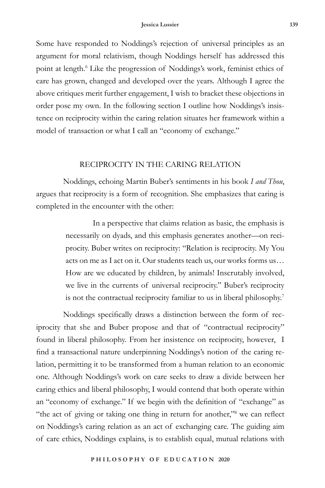Some have responded to Noddings's rejection of universal principles as an argument for moral relativism, though Noddings herself has addressed this point at length.<sup>6</sup> Like the progression of Noddings's work, feminist ethics of care has grown, changed and developed over the years. Although I agree the above critiques merit further engagement, I wish to bracket these objections in order pose my own. In the following section I outline how Noddings's insistence on reciprocity within the caring relation situates her framework within a model of transaction or what I call an "economy of exchange."

#### RECIPROCITY IN THE CARING RELATION

Noddings, echoing Martin Buber's sentiments in his book *I and Thou*, argues that reciprocity is a form of recognition. She emphasizes that caring is completed in the encounter with the other:

> In a perspective that claims relation as basic, the emphasis is necessarily on dyads, and this emphasis generates another—on reciprocity. Buber writes on reciprocity: "Relation is reciprocity. My You acts on me as I act on it. Our students teach us, our works forms us… How are we educated by children, by animals! Inscrutably involved, we live in the currents of universal reciprocity." Buber's reciprocity is not the contractual reciprocity familiar to us in liberal philosophy.7

Noddings specifically draws a distinction between the form of reciprocity that she and Buber propose and that of "contractual reciprocity" found in liberal philosophy. From her insistence on reciprocity, however, I find a transactional nature underpinning Noddings's notion of the caring relation, permitting it to be transformed from a human relation to an economic one. Although Noddings's work on care seeks to draw a divide between her caring ethics and liberal philosophy, I would contend that both operate within an "economy of exchange." If we begin with the definition of "exchange" as "the act of giving or taking one thing in return for another,"<sup>8</sup> we can reflect on Noddings's caring relation as an act of exchanging care. The guiding aim of care ethics, Noddings explains, is to establish equal, mutual relations with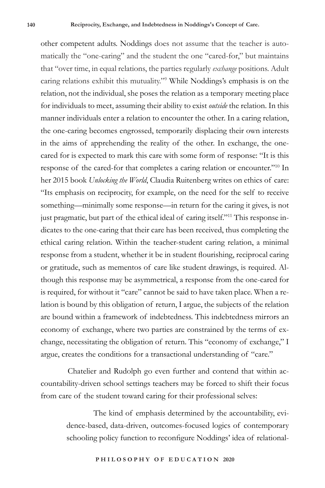other competent adults. Noddings does not assume that the teacher is automatically the "one-caring" and the student the one "cared-for," but maintains that "over time, in equal relations, the parties regularly *exchange* positions. Adult caring relations exhibit this mutuality."9 While Noddings's emphasis is on the relation, not the individual, she poses the relation as a temporary meeting place for individuals to meet, assuming their ability to exist *outside* the relation. In this manner individuals enter a relation to encounter the other. In a caring relation, the one-caring becomes engrossed, temporarily displacing their own interests in the aims of apprehending the reality of the other. In exchange, the onecared for is expected to mark this care with some form of response: "It is this response of the cared-for that completes a caring relation or encounter."10 In her 2015 book *Unlocking the World*, Claudia Ruitenberg writes on ethics of care: "Its emphasis on reciprocity, for example, on the need for the self to receive something—minimally some response—in return for the caring it gives, is not just pragmatic, but part of the ethical ideal of caring itself."11 This response indicates to the one-caring that their care has been received, thus completing the ethical caring relation. Within the teacher-student caring relation, a minimal response from a student, whether it be in student flourishing, reciprocal caring or gratitude, such as mementos of care like student drawings, is required. Although this response may be asymmetrical, a response from the one-cared for is required, for without it "care" cannot be said to have taken place. When a relation is bound by this obligation of return, I argue, the subjects of the relation are bound within a framework of indebtedness. This indebtedness mirrors an economy of exchange, where two parties are constrained by the terms of exchange, necessitating the obligation of return. This "economy of exchange," I argue, creates the conditions for a transactional understanding of "care."

Chatelier and Rudolph go even further and contend that within accountability-driven school settings teachers may be forced to shift their focus from care of the student toward caring for their professional selves:

> The kind of emphasis determined by the accountability, evidence-based, data-driven, outcomes-focused logics of contemporary schooling policy function to reconfigure Noddings' idea of relational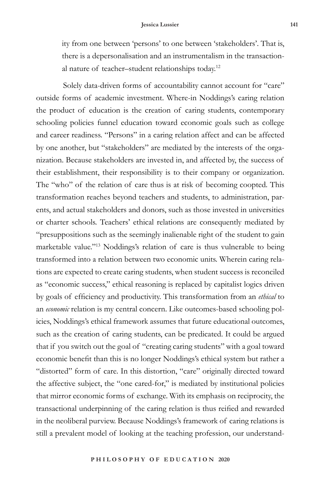ity from one between 'persons' to one between 'stakeholders'. That is, there is a depersonalisation and an instrumentalism in the transactional nature of teacher–student relationships today.12

Solely data-driven forms of accountability cannot account for "care" outside forms of academic investment. Where-in Noddings's caring relation the product of education is the creation of caring students, contemporary schooling policies funnel education toward economic goals such as college and career readiness. "Persons" in a caring relation affect and can be affected by one another, but "stakeholders" are mediated by the interests of the organization. Because stakeholders are invested in, and affected by, the success of their establishment, their responsibility is to their company or organization. The "who" of the relation of care thus is at risk of becoming coopted*.* This transformation reaches beyond teachers and students, to administration, parents, and actual stakeholders and donors, such as those invested in universities or charter schools. Teachers' ethical relations are consequently mediated by "presuppositions such as the seemingly inalienable right of the student to gain marketable value."13 Noddings's relation of care is thus vulnerable to being transformed into a relation between two economic units. Wherein caring relations are expected to create caring students, when student success is reconciled as "economic success," ethical reasoning is replaced by capitalist logics driven by goals of efficiency and productivity. This transformation from an *ethical* to an *economic* relation is my central concern. Like outcomes-based schooling policies, Noddings's ethical framework assumes that future educational outcomes, such as the creation of caring students, can be predicated. It could be argued that if you switch out the goal of "creating caring students" with a goal toward economic benefit than this is no longer Noddings's ethical system but rather a "distorted" form of care. In this distortion, "care" originally directed toward the affective subject, the "one cared-for," is mediated by institutional policies that mirror economic forms of exchange. With its emphasis on reciprocity, the transactional underpinning of the caring relation is thus reified and rewarded in the neoliberal purview. Because Noddings's framework of caring relations is still a prevalent model of looking at the teaching profession, our understand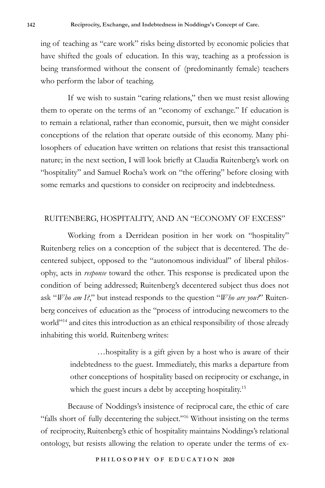ing of teaching as "care work" risks being distorted by economic policies that have shifted the goals of education. In this way, teaching as a profession is being transformed without the consent of (predominantly female) teachers who perform the labor of teaching.

If we wish to sustain "caring relations," then we must resist allowing them to operate on the terms of an "economy of exchange." If education is to remain a relational, rather than economic, pursuit, then we might consider conceptions of the relation that operate outside of this economy. Many philosophers of education have written on relations that resist this transactional nature; in the next section, I will look briefly at Claudia Ruitenberg's work on "hospitality" and Samuel Rocha's work on "the offering" before closing with some remarks and questions to consider on reciprocity and indebtedness.

#### RUITENBERG, HOSPITALITY, AND AN "ECONOMY OF EXCESS"

Working from a Derridean position in her work on "hospitality" Ruitenberg relies on a conception of the subject that is decentered. The decentered subject, opposed to the "autonomous individual" of liberal philosophy, acts in *response* toward the other. This response is predicated upon the condition of being addressed; Ruitenberg's decentered subject thus does not ask "*Who am I?*," but instead responds to the question "*Who are you?*" Ruitenberg conceives of education as the "process of introducing newcomers to the world"<sup>14</sup> and cites this introduction as an ethical responsibility of those already inhabiting this world. Ruitenberg writes:

> …hospitality is a gift given by a host who is aware of their indebtedness to the guest. Immediately, this marks a departure from other conceptions of hospitality based on reciprocity or exchange, in which the guest incurs a debt by accepting hospitality.<sup>15</sup>

Because of Noddings's insistence of reciprocal care, the ethic of care "falls short of fully decentering the subject."16 Without insisting on the terms of reciprocity, Ruitenberg's ethic of hospitality maintains Noddings's relational ontology, but resists allowing the relation to operate under the terms of ex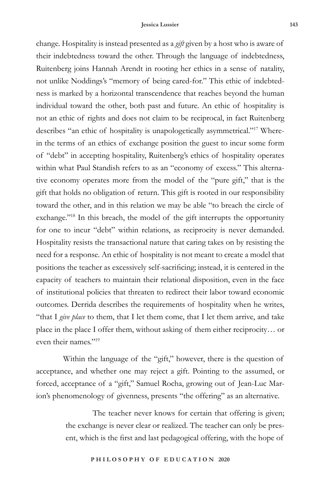change. Hospitality is instead presented as a *gift* given by a host who is aware of their indebtedness toward the other. Through the language of indebtedness, Ruitenberg joins Hannah Arendt in rooting her ethics in a sense of natality, not unlike Noddings's "memory of being cared-for." This ethic of indebtedness is marked by a horizontal transcendence that reaches beyond the human individual toward the other, both past and future. An ethic of hospitality is not an ethic of rights and does not claim to be reciprocal, in fact Ruitenberg describes "an ethic of hospitality is unapologetically asymmetrical."17 Wherein the terms of an ethics of exchange position the guest to incur some form of "debt" in accepting hospitality, Ruitenberg's ethics of hospitality operates within what Paul Standish refers to as an "economy of excess." This alternative economy operates more from the model of the "pure gift," that is the gift that holds no obligation of return. This gift is rooted in our responsibility toward the other, and in this relation we may be able "to breach the circle of exchange."<sup>18</sup> In this breach, the model of the gift interrupts the opportunity for one to incur "debt" within relations, as reciprocity is never demanded. Hospitality resists the transactional nature that caring takes on by resisting the need for a response. An ethic of hospitality is not meant to create a model that positions the teacher as excessively self-sacrificing; instead, it is centered in the capacity of teachers to maintain their relational disposition, even in the face of institutional policies that threaten to redirect their labor toward economic outcomes. Derrida describes the requirements of hospitality when he writes, "that I *give place* to them, that I let them come, that I let them arrive, and take place in the place I offer them, without asking of them either reciprocity… or even their names."19

Within the language of the "gift," however, there is the question of acceptance, and whether one may reject a gift. Pointing to the assumed, or forced, acceptance of a "gift," Samuel Rocha, growing out of Jean-Luc Marion's phenomenology of givenness, presents "the offering" as an alternative.

> The teacher never knows for certain that offering is given; the exchange is never clear or realized. The teacher can only be present, which is the first and last pedagogical offering, with the hope of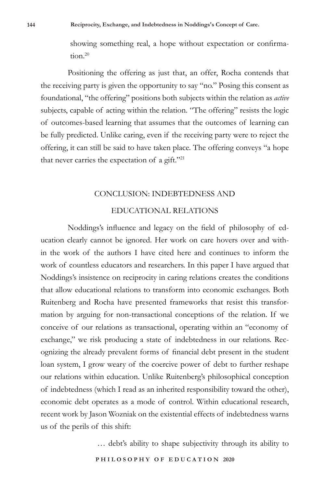showing something real, a hope without expectation or confirmation.<sup>20</sup>

Positioning the offering as just that, an offer, Rocha contends that the receiving party is given the opportunity to say "no." Posing this consent as foundational, "the offering" positions both subjects within the relation as *active* subjects, capable of acting within the relation. "The offering" resists the logic of outcomes-based learning that assumes that the outcomes of learning can be fully predicted. Unlike caring, even if the receiving party were to reject the offering, it can still be said to have taken place. The offering conveys "a hope that never carries the expectation of a gift."21

#### CONCLUSION: INDEBTEDNESS AND

# EDUCATIONAL RELATIONS

Noddings's influence and legacy on the field of philosophy of education clearly cannot be ignored. Her work on care hovers over and within the work of the authors I have cited here and continues to inform the work of countless educators and researchers. In this paper I have argued that Noddings's insistence on reciprocity in caring relations creates the conditions that allow educational relations to transform into economic exchanges. Both Ruitenberg and Rocha have presented frameworks that resist this transformation by arguing for non-transactional conceptions of the relation. If we conceive of our relations as transactional, operating within an "economy of exchange," we risk producing a state of indebtedness in our relations. Recognizing the already prevalent forms of financial debt present in the student loan system, I grow weary of the coercive power of debt to further reshape our relations within education. Unlike Ruitenberg's philosophical conception of indebtedness (which I read as an inherited responsibility toward the other), economic debt operates as a mode of control. Within educational research, recent work by Jason Wozniak on the existential effects of indebtedness warns us of the perils of this shift:

… debt's ability to shape subjectivity through its ability to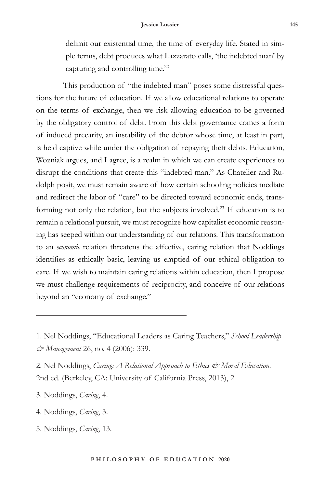delimit our existential time, the time of everyday life. Stated in simple terms, debt produces what Lazzarato calls, 'the indebted man' by capturing and controlling time.<sup>22</sup>

This production of "the indebted man" poses some distressful questions for the future of education. If we allow educational relations to operate on the terms of exchange, then we risk allowing education to be governed by the obligatory control of debt. From this debt governance comes a form of induced precarity, an instability of the debtor whose time, at least in part, is held captive while under the obligation of repaying their debts. Education, Wozniak argues, and I agree, is a realm in which we can create experiences to disrupt the conditions that create this "indebted man." As Chatelier and Rudolph posit, we must remain aware of how certain schooling policies mediate and redirect the labor of "care" to be directed toward economic ends, transforming not only the relation, but the subjects involved.23 If education is to remain a relational pursuit, we must recognize how capitalist economic reasoning has seeped within our understanding of our relations. This transformation to an *economic* relation threatens the affective, caring relation that Noddings identifies as ethically basic, leaving us emptied of our ethical obligation to care. If we wish to maintain caring relations within education, then I propose we must challenge requirements of reciprocity, and conceive of our relations beyond an "economy of exchange."

2. Nel Noddings, *Caring: A Relational Approach to Ethics & Moral Education*. 2nd ed. (Berkeley, CA: University of California Press, 2013), 2.

3. Noddings, *Caring*, 4.

- 4. Noddings, *Caring*, 3.
- 5. Noddings, *Caring*, 13.

<sup>1.</sup> Nel Noddings, "Educational Leaders as Caring Teachers," *School Leadership & Management* 26, no. 4 (2006): 339.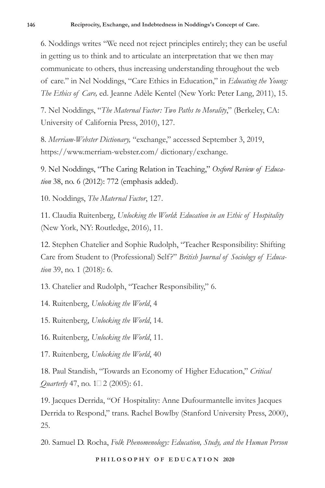6. Noddings writes "We need not reject principles entirely; they can be useful in getting us to think and to articulate an interpretation that we then may communicate to others, thus increasing understanding throughout the web of care." in Nel Noddings, "Care Ethics in Education," in *Educating the Young: The Ethics of Care,* ed. Jeanne Adèle Kentel (New York: Peter Lang, 2011), 15.

7. Nel Noddings, "*The Maternal Factor: Two Paths to Morality*," (Berkeley, CA: University of California Press, 2010), 127.

8. *Merriam-Webster Dictionary,* "exchange," accessed September 3, 2019, https://www.merriam-webster.com/ dictionary/exchange.

9. Nel Noddings, "The Caring Relation in Teaching," *Oxford Review of Education* 38, no. 6 (2012): 772 (emphasis added).

10. Noddings, *The Maternal Factor*, 127.

11. Claudia Ruitenberg, *Unlocking the World*: *Education in an Ethic of Hospitality*  (New York, NY: Routledge, 2016), 11.

12. Stephen Chatelier and Sophie Rudolph, "Teacher Responsibility: Shifting Care from Student to (Professional) Self?" *British Journal of Sociology of Education* 39, no. 1 (2018): 6.

13. Chatelier and Rudolph, "Teacher Responsibility," 6.

14. Ruitenberg, *Unlocking the World*, 4

15. Ruitenberg, *Unlocking the World*, 14.

16. Ruitenberg, *Unlocking the World*, 11.

17. Ruitenberg, *Unlocking the World*, 40

18. Paul Standish, "Towards an Economy of Higher Education," *Critical Quarterly* 47, no.  $1\square$  2 (2005): 61.

19. Jacques Derrida, "Of Hospitality: Anne Dufourmantelle invites Jacques Derrida to Respond," trans. Rachel Bowlby (Stanford University Press, 2000), 25.

20. Samuel D. Rocha, *Folk Phenomenology: Education, Study, and the Human Person*